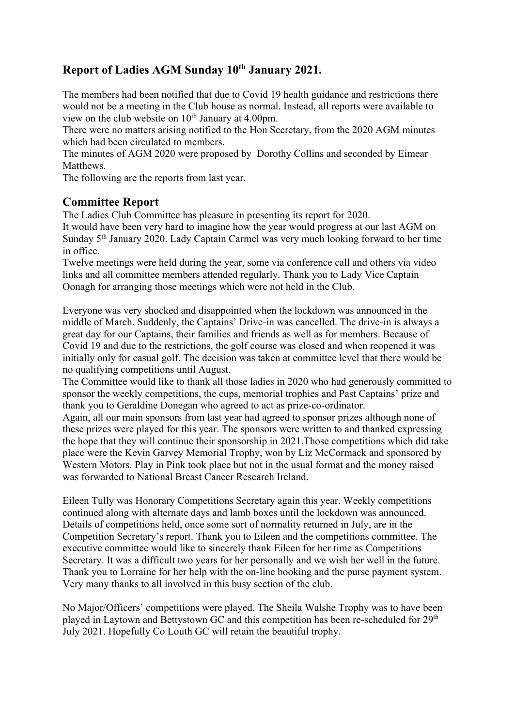# **Report of Ladies AGM Sunday 10th January 2021.**

The members had been notified that due to Covid 19 health guidance and restrictions there would not be a meeting in the Club house as normal. Instead, all reports were available to view on the club website on  $10<sup>th</sup>$  January at 4.00pm.

There were no matters arising notified to the Hon Secretary, from the 2020 AGM minutes which had been circulated to members.

The minutes of AGM 2020 were proposed by Dorothy Collins and seconded by Eimear Matthews.

The following are the reports from last year.

## **Committee Report**

The Ladies Club Committee has pleasure in presenting its report for 2020.

It would have been very hard to imagine how the year would progress at our last AGM on Sunday 5th January 2020. Lady Captain Carmel was very much looking forward to her time in office.

Twelve meetings were held during the year, some via conference call and others via video links and all committee members attended regularly. Thank you to Lady Vice Captain Oonagh for arranging those meetings which were not held in the Club.

Everyone was very shocked and disappointed when the lockdown was announced in the middle of March. Suddenly, the Captains' Drive-in was cancelled. The drive-in is always a great day for our Captains, their families and friends as well as for members. Because of Covid 19 and due to the restrictions, the golf course was closed and when reopened it was initially only for casual golf. The decision was taken at committee level that there would be no qualifying competitions until August.

The Committee would like to thank all those ladies in 2020 who had generously committed to sponsor the weekly competitions, the cups, memorial trophies and Past Captains' prize and thank you to Geraldine Donegan who agreed to act as prize-co-ordinator.

Again, all our main sponsors from last year had agreed to sponsor prizes although none of these prizes were played for this year. The sponsors were written to and thanked expressing the hope that they will continue their sponsorship in 2021.Those competitions which did take place were the Kevin Garvey Memorial Trophy, won by Liz McCormack and sponsored by Western Motors. Play in Pink took place but not in the usual format and the money raised was forwarded to National Breast Cancer Research Ireland.

Eileen Tully was Honorary Competitions Secretary again this year. Weekly competitions continued along with alternate days and lamb boxes until the lockdown was announced. Details of competitions held, once some sort of normality returned in July, are in the Competition Secretary's report. Thank you to Eileen and the competitions committee. The executive committee would like to sincerely thank Eileen for her time as Competitions Secretary. It was a difficult two years for her personally and we wish her well in the future. Thank you to Lorraine for her help with the on-line booking and the purse payment system. Very many thanks to all involved in this busy section of the club.

No Major/Officers' competitions were played. The Sheila Walshe Trophy was to have been played in Laytown and Bettystown GC and this competition has been re-scheduled for 29<sup>th</sup> July 2021. Hopefully Co Louth GC will retain the beautiful trophy.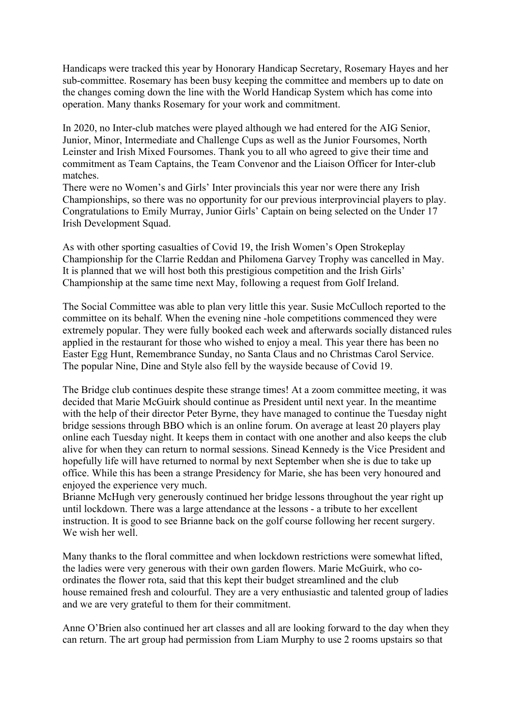Handicaps were tracked this year by Honorary Handicap Secretary, Rosemary Hayes and her sub-committee. Rosemary has been busy keeping the committee and members up to date on the changes coming down the line with the World Handicap System which has come into operation. Many thanks Rosemary for your work and commitment.

In 2020, no Inter-club matches were played although we had entered for the AIG Senior, Junior, Minor, Intermediate and Challenge Cups as well as the Junior Foursomes, North Leinster and Irish Mixed Foursomes. Thank you to all who agreed to give their time and commitment as Team Captains, the Team Convenor and the Liaison Officer for Inter-club matches.

There were no Women's and Girls' Inter provincials this year nor were there any Irish Championships, so there was no opportunity for our previous interprovincial players to play. Congratulations to Emily Murray, Junior Girls' Captain on being selected on the Under 17 Irish Development Squad.

As with other sporting casualties of Covid 19, the Irish Women's Open Strokeplay Championship for the Clarrie Reddan and Philomena Garvey Trophy was cancelled in May. It is planned that we will host both this prestigious competition and the Irish Girls' Championship at the same time next May, following a request from Golf Ireland.

The Social Committee was able to plan very little this year. Susie McCulloch reported to the committee on its behalf. When the evening nine -hole competitions commenced they were extremely popular. They were fully booked each week and afterwards socially distanced rules applied in the restaurant for those who wished to enjoy a meal. This year there has been no Easter Egg Hunt, Remembrance Sunday, no Santa Claus and no Christmas Carol Service. The popular Nine, Dine and Style also fell by the wayside because of Covid 19.

The Bridge club continues despite these strange times! At a zoom committee meeting, it was decided that Marie McGuirk should continue as President until next year. In the meantime with the help of their director Peter Byrne, they have managed to continue the Tuesday night bridge sessions through BBO which is an online forum. On average at least 20 players play online each Tuesday night. It keeps them in contact with one another and also keeps the club alive for when they can return to normal sessions. Sinead Kennedy is the Vice President and hopefully life will have returned to normal by next September when she is due to take up office. While this has been a strange Presidency for Marie, she has been very honoured and enjoyed the experience very much.

Brianne McHugh very generously continued her bridge lessons throughout the year right up until lockdown. There was a large attendance at the lessons - a tribute to her excellent instruction. It is good to see Brianne back on the golf course following her recent surgery. We wish her well.

Many thanks to the floral committee and when lockdown restrictions were somewhat lifted, the ladies were very generous with their own garden flowers. Marie McGuirk, who coordinates the flower rota, said that this kept their budget streamlined and the club house remained fresh and colourful. They are a very enthusiastic and talented group of ladies and we are very grateful to them for their commitment.

Anne O'Brien also continued her art classes and all are looking forward to the day when they can return. The art group had permission from Liam Murphy to use 2 rooms upstairs so that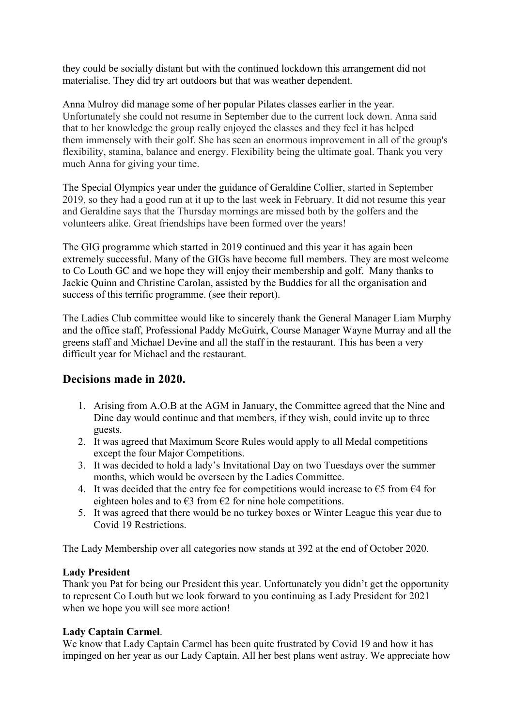they could be socially distant but with the continued lockdown this arrangement did not materialise. They did try art outdoors but that was weather dependent.

Anna Mulroy did manage some of her popular Pilates classes earlier in the year. Unfortunately she could not resume in September due to the current lock down. Anna said that to her knowledge the group really enjoyed the classes and they feel it has helped them immensely with their golf. She has seen an enormous improvement in all of the group's flexibility, stamina, balance and energy. Flexibility being the ultimate goal. Thank you very much Anna for giving your time.

The Special Olympics year under the guidance of Geraldine Collier, started in September 2019, so they had a good run at it up to the last week in February. It did not resume this year and Geraldine says that the Thursday mornings are missed both by the golfers and the volunteers alike. Great friendships have been formed over the years!

The GIG programme which started in 2019 continued and this year it has again been extremely successful. Many of the GIGs have become full members. They are most welcome to Co Louth GC and we hope they will enjoy their membership and golf. Many thanks to Jackie Quinn and Christine Carolan, assisted by the Buddies for all the organisation and success of this terrific programme. (see their report).

The Ladies Club committee would like to sincerely thank the General Manager Liam Murphy and the office staff, Professional Paddy McGuirk, Course Manager Wayne Murray and all the greens staff and Michael Devine and all the staff in the restaurant. This has been a very difficult year for Michael and the restaurant.

## **Decisions made in 2020.**

- 1. Arising from A.O.B at the AGM in January, the Committee agreed that the Nine and Dine day would continue and that members, if they wish, could invite up to three guests.
- 2. It was agreed that Maximum Score Rules would apply to all Medal competitions except the four Major Competitions.
- 3. It was decided to hold a lady's Invitational Day on two Tuesdays over the summer months, which would be overseen by the Ladies Committee.
- 4. It was decided that the entry fee for competitions would increase to  $\epsilon$ 5 from  $\epsilon$ 4 for eighteen holes and to  $\epsilon$ 3 from  $\epsilon$ 2 for nine hole competitions.
- 5. It was agreed that there would be no turkey boxes or Winter League this year due to Covid 19 Restrictions.

The Lady Membership over all categories now stands at 392 at the end of October 2020.

### **Lady President**

Thank you Pat for being our President this year. Unfortunately you didn't get the opportunity to represent Co Louth but we look forward to you continuing as Lady President for 2021 when we hope you will see more action!

### **Lady Captain Carmel**.

We know that Lady Captain Carmel has been quite frustrated by Covid 19 and how it has impinged on her year as our Lady Captain. All her best plans went astray. We appreciate how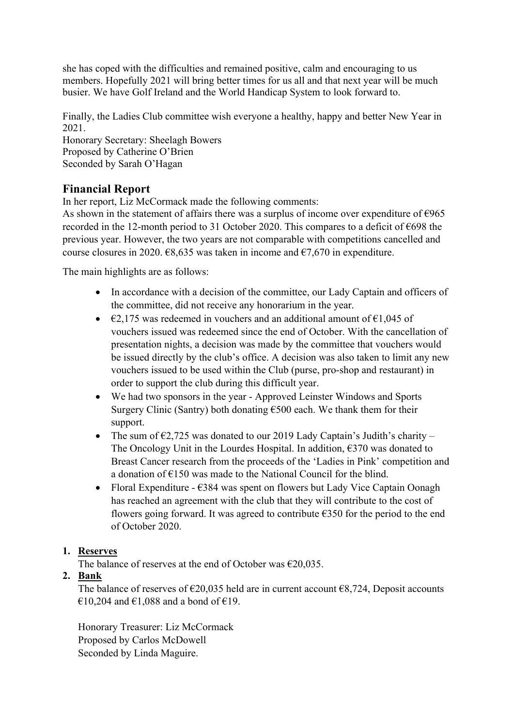she has coped with the difficulties and remained positive, calm and encouraging to us members. Hopefully 2021 will bring better times for us all and that next year will be much busier. We have Golf Ireland and the World Handicap System to look forward to.

Finally, the Ladies Club committee wish everyone a healthy, happy and better New Year in 2021.

Honorary Secretary: Sheelagh Bowers Proposed by Catherine O'Brien Seconded by Sarah O'Hagan

# **Financial Report**

In her report, Liz McCormack made the following comments:

As shown in the statement of affairs there was a surplus of income over expenditure of  $\epsilon$ 965 recorded in the 12-month period to 31 October 2020. This compares to a deficit of  $\epsilon$ 698 the previous year. However, the two years are not comparable with competitions cancelled and course closures in 2020.  $\epsilon$ 8,635 was taken in income and  $\epsilon$ 7,670 in expenditure.

The main highlights are as follows:

- In accordance with a decision of the committee, our Lady Captain and officers of the committee, did not receive any honorarium in the year.
- $\epsilon$ 2,175 was redeemed in vouchers and an additional amount of  $\epsilon$ 1,045 of vouchers issued was redeemed since the end of October. With the cancellation of presentation nights, a decision was made by the committee that vouchers would be issued directly by the club's office. A decision was also taken to limit any new vouchers issued to be used within the Club (purse, pro-shop and restaurant) in order to support the club during this difficult year.
- We had two sponsors in the year Approved Leinster Windows and Sports Surgery Clinic (Santry) both donating  $\epsilon$ 500 each. We thank them for their support.
- The sum of  $\epsilon$ 2,725 was donated to our 2019 Lady Captain's Judith's charity The Oncology Unit in the Lourdes Hospital. In addition,  $\epsilon$ 370 was donated to Breast Cancer research from the proceeds of the 'Ladies in Pink' competition and a donation of €150 was made to the National Council for the blind.
- Floral Expenditure  $\epsilon$ 384 was spent on flowers but Lady Vice Captain Oonagh has reached an agreement with the club that they will contribute to the cost of flowers going forward. It was agreed to contribute  $\epsilon$ 350 for the period to the end of October 2020.

## **1. Reserves**

The balance of reserves at the end of October was  $\epsilon$ 20,035.

## **2. Bank**

The balance of reserves of  $\epsilon$ 20,035 held are in current account  $\epsilon$ 8,724, Deposit accounts €10,204 and €1,088 and a bond of €19.

Honorary Treasurer: Liz McCormack Proposed by Carlos McDowell Seconded by Linda Maguire.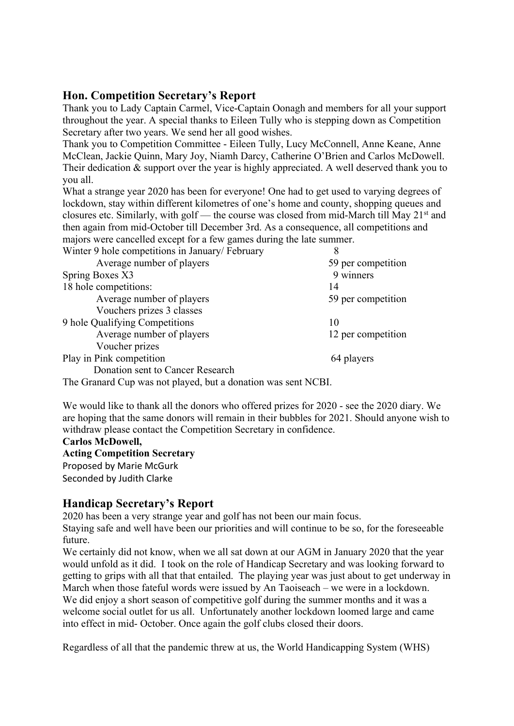## **Hon. Competition Secretary's Report**

Thank you to Lady Captain Carmel, Vice-Captain Oonagh and members for all your support throughout the year. A special thanks to Eileen Tully who is stepping down as Competition Secretary after two years. We send her all good wishes.

Thank you to Competition Committee - Eileen Tully, Lucy McConnell, Anne Keane, Anne McClean, Jackie Quinn, Mary Joy, Niamh Darcy, Catherine O'Brien and Carlos McDowell. Their dedication & support over the year is highly appreciated. A well deserved thank you to you all.

What a strange year 2020 has been for everyone! One had to get used to varying degrees of lockdown, stay within different kilometres of one's home and county, shopping queues and closures etc. Similarly, with golf — the course was closed from mid-March till May 21st and then again from mid-October till December 3rd. As a consequence, all competitions and majors were cancelled except for a few games during the late summer.

| Winter 9 hole competitions in January/February | 8                  |
|------------------------------------------------|--------------------|
| Average number of players                      | 59 per competition |
| Spring Boxes X3                                | 9 winners          |
| 18 hole competitions:                          | 14                 |
| Average number of players                      | 59 per competition |
| Vouchers prizes 3 classes                      |                    |
| 9 hole Qualifying Competitions                 | 10                 |
| Average number of players                      | 12 per competition |
| Voucher prizes                                 |                    |
| Play in Pink competition                       | 64 players         |
| Donation sent to Cancer Research               |                    |

The Granard Cup was not played, but a donation was sent NCBI.

We would like to thank all the donors who offered prizes for 2020 - see the 2020 diary. We are hoping that the same donors will remain in their bubbles for 2021. Should anyone wish to withdraw please contact the Competition Secretary in confidence.

**Carlos McDowell,**

**Acting Competition Secretary** Proposed by Marie McGurk Seconded by Judith Clarke

## **Handicap Secretary's Report**

2020 has been a very strange year and golf has not been our main focus.

Staying safe and well have been our priorities and will continue to be so, for the foreseeable future.

We certainly did not know, when we all sat down at our AGM in January 2020 that the year would unfold as it did. I took on the role of Handicap Secretary and was looking forward to getting to grips with all that that entailed. The playing year was just about to get underway in March when those fateful words were issued by An Taoiseach – we were in a lockdown. We did enjoy a short season of competitive golf during the summer months and it was a welcome social outlet for us all. Unfortunately another lockdown loomed large and came into effect in mid- October. Once again the golf clubs closed their doors.

Regardless of all that the pandemic threw at us, the World Handicapping System (WHS)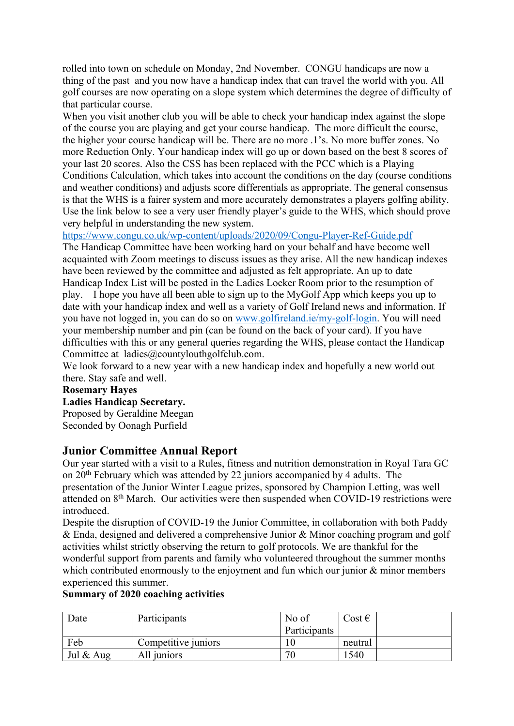rolled into town on schedule on Monday, 2nd November. CONGU handicaps are now a thing of the past and you now have a handicap index that can travel the world with you. All golf courses are now operating on a slope system which determines the degree of difficulty of that particular course.

When you visit another club you will be able to check your handicap index against the slope of the course you are playing and get your course handicap. The more difficult the course, the higher your course handicap will be. There are no more .1's. No more buffer zones. No more Reduction Only. Your handicap index will go up or down based on the best 8 scores of your last 20 scores. Also the CSS has been replaced with the PCC which is a Playing Conditions Calculation, which takes into account the conditions on the day (course conditions and weather conditions) and adjusts score differentials as appropriate. The general consensus is that the WHS is a fairer system and more accurately demonstrates a players golfing ability. Use the link below to see a very user friendly player's guide to the WHS, which should prove very helpful in understanding the new system.

https://www.congu.co.uk/wp-content/uploads/2020/09/Congu-Player-Ref-Guide.pdf

The Handicap Committee have been working hard on your behalf and have become well acquainted with Zoom meetings to discuss issues as they arise. All the new handicap indexes have been reviewed by the committee and adjusted as felt appropriate. An up to date Handicap Index List will be posted in the Ladies Locker Room prior to the resumption of play. I hope you have all been able to sign up to the MyGolf App which keeps you up to date with your handicap index and well as a variety of Golf Ireland news and information. If you have not logged in, you can do so on www.golfireland.ie/my-golf-login. You will need your membership number and pin (can be found on the back of your card). If you have difficulties with this or any general queries regarding the WHS, please contact the Handicap Committee at ladies@countylouthgolfclub.com.

We look forward to a new year with a new handicap index and hopefully a new world out there. Stay safe and well.

### **Rosemary Hayes**

**Ladies Handicap Secretary.**

Proposed by Geraldine Meegan Seconded by Oonagh Purfield

## **Junior Committee Annual Report**

Our year started with a visit to a Rules, fitness and nutrition demonstration in Royal Tara GC on 20<sup>th</sup> February which was attended by 22 juniors accompanied by 4 adults. The presentation of the Junior Winter League prizes, sponsored by Champion Letting, was well attended on 8th March. Our activities were then suspended when COVID-19 restrictions were introduced.

Despite the disruption of COVID-19 the Junior Committee, in collaboration with both Paddy & Enda, designed and delivered a comprehensive Junior & Minor coaching program and golf activities whilst strictly observing the return to golf protocols. We are thankful for the wonderful support from parents and family who volunteered throughout the summer months which contributed enormously to the enjoyment and fun which our junior  $\&$  minor members experienced this summer.

### **Summary of 2020 coaching activities**

| Date         | Participants        | No of        | $\cos t \in$ |  |
|--------------|---------------------|--------------|--------------|--|
|              |                     | Participants |              |  |
| Feb          | Competitive juniors |              | neutral      |  |
| Jul $\&$ Aug | All juniors         | 70           | 1540         |  |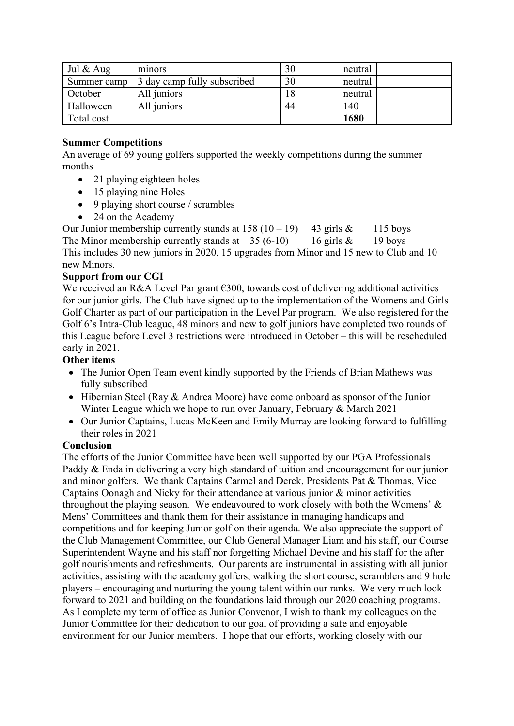| Jul $\&$ Aug | minors                      | 30 | neutral |
|--------------|-----------------------------|----|---------|
| Summer camp  | 3 day camp fully subscribed | 30 | neutral |
| October      | All juniors                 | 18 | neutral |
| Halloween    | All juniors                 | 44 | 140     |
| Total cost   |                             |    | 1680    |

### **Summer Competitions**

An average of 69 young golfers supported the weekly competitions during the summer months

- 21 playing eighteen holes
- 15 playing nine Holes
- 9 playing short course / scrambles
- 24 on the Academy

Our Junior membership currently stands at  $158 (10 - 19)$  43 girls & 115 boys The Minor membership currently stands at  $35(6-10)$  16 girls & 19 boys This includes 30 new juniors in 2020, 15 upgrades from Minor and 15 new to Club and 10 new Minors.

### **Support from our CGI**

We received an R&A Level Par grant  $\epsilon$ 300, towards cost of delivering additional activities for our junior girls. The Club have signed up to the implementation of the Womens and Girls Golf Charter as part of our participation in the Level Par program. We also registered for the Golf 6's Intra-Club league, 48 minors and new to golf juniors have completed two rounds of this League before Level 3 restrictions were introduced in October – this will be rescheduled early in 2021.

### **Other items**

- The Junior Open Team event kindly supported by the Friends of Brian Mathews was fully subscribed
- Hibernian Steel (Ray & Andrea Moore) have come onboard as sponsor of the Junior Winter League which we hope to run over January, February & March 2021
- Our Junior Captains, Lucas McKeen and Emily Murray are looking forward to fulfilling their roles in 2021

### **Conclusion**

The efforts of the Junior Committee have been well supported by our PGA Professionals Paddy & Enda in delivering a very high standard of tuition and encouragement for our junior and minor golfers. We thank Captains Carmel and Derek, Presidents Pat & Thomas, Vice Captains Oonagh and Nicky for their attendance at various junior & minor activities throughout the playing season. We endeavoured to work closely with both the Womens' & Mens' Committees and thank them for their assistance in managing handicaps and competitions and for keeping Junior golf on their agenda. We also appreciate the support of the Club Management Committee, our Club General Manager Liam and his staff, our Course Superintendent Wayne and his staff nor forgetting Michael Devine and his staff for the after golf nourishments and refreshments. Our parents are instrumental in assisting with all junior activities, assisting with the academy golfers, walking the short course, scramblers and 9 hole players – encouraging and nurturing the young talent within our ranks. We very much look forward to 2021 and building on the foundations laid through our 2020 coaching programs. As I complete my term of office as Junior Convenor, I wish to thank my colleagues on the Junior Committee for their dedication to our goal of providing a safe and enjoyable environment for our Junior members. I hope that our efforts, working closely with our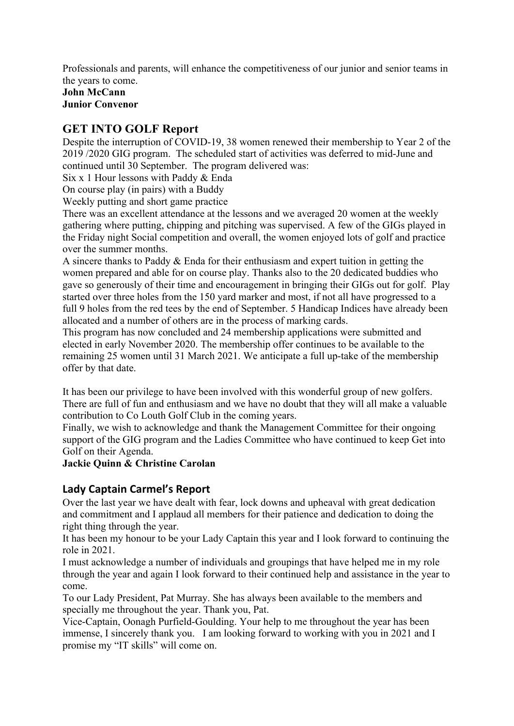Professionals and parents, will enhance the competitiveness of our junior and senior teams in the years to come. **John McCann**

**Junior Convenor**

# **GET INTO GOLF Report**

Despite the interruption of COVID-19, 38 women renewed their membership to Year 2 of the 2019 /2020 GIG program. The scheduled start of activities was deferred to mid-June and continued until 30 September. The program delivered was:

Six x 1 Hour lessons with Paddy & Enda

On course play (in pairs) with a Buddy

Weekly putting and short game practice

There was an excellent attendance at the lessons and we averaged 20 women at the weekly gathering where putting, chipping and pitching was supervised. A few of the GIGs played in the Friday night Social competition and overall, the women enjoyed lots of golf and practice over the summer months.

A sincere thanks to Paddy & Enda for their enthusiasm and expert tuition in getting the women prepared and able for on course play. Thanks also to the 20 dedicated buddies who gave so generously of their time and encouragement in bringing their GIGs out for golf. Play started over three holes from the 150 yard marker and most, if not all have progressed to a full 9 holes from the red tees by the end of September. 5 Handicap Indices have already been allocated and a number of others are in the process of marking cards.

This program has now concluded and 24 membership applications were submitted and elected in early November 2020. The membership offer continues to be available to the remaining 25 women until 31 March 2021. We anticipate a full up-take of the membership offer by that date.

It has been our privilege to have been involved with this wonderful group of new golfers. There are full of fun and enthusiasm and we have no doubt that they will all make a valuable contribution to Co Louth Golf Club in the coming years.

Finally, we wish to acknowledge and thank the Management Committee for their ongoing support of the GIG program and the Ladies Committee who have continued to keep Get into Golf on their Agenda.

## **Jackie Quinn & Christine Carolan**

## **Lady Captain Carmel's Report**

Over the last year we have dealt with fear, lock downs and upheaval with great dedication and commitment and I applaud all members for their patience and dedication to doing the right thing through the year.

It has been my honour to be your Lady Captain this year and I look forward to continuing the role in 2021.

I must acknowledge a number of individuals and groupings that have helped me in my role through the year and again I look forward to their continued help and assistance in the year to come.

To our Lady President, Pat Murray. She has always been available to the members and specially me throughout the year. Thank you, Pat.

Vice-Captain, Oonagh Purfield-Goulding. Your help to me throughout the year has been immense, I sincerely thank you. I am looking forward to working with you in 2021 and I promise my "IT skills" will come on.